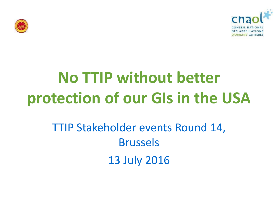



# **No TTIP without better protection of our GIs in the USA**

### TTIP Stakeholder events Round 14, Brussels 13 July 2016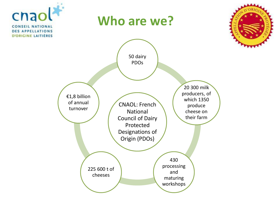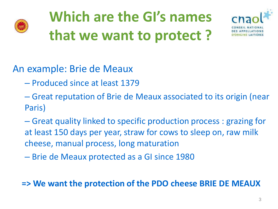

# **Which are the GI's names that we want to protect ?**



### An example: Brie de Meaux

- Produced since at least 1379
- Great reputation of Brie de Meaux associated to its origin (near Paris)
- Great quality linked to specific production process : grazing for at least 150 days per year, straw for cows to sleep on, raw milk cheese, manual process, long maturation
- Brie de Meaux protected as a GI since 1980

#### **=> We want the protection of the PDO cheese BRIE DE MEAUX**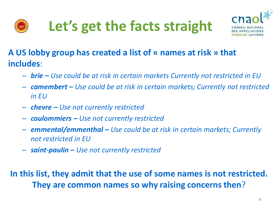





#### **A US lobby group has created a list of « names at risk » that includes**:

- *brie – Use could be at risk in certain markets Currently not restricted in EU*
- *camembert – Use could be at risk in certain markets; Currently not restricted in EU*
- *chevre – Use not currently restricted*
- *coulommiers – Use not currently restricted*
- *emmental/emmenthal – Use could be at risk in certain markets; Currently not restricted in EU*
- *saint-paulin – Use not currently restricted*

#### **In this list, they admit that the use of some names is not restricted. They are common names so why raising concerns then**?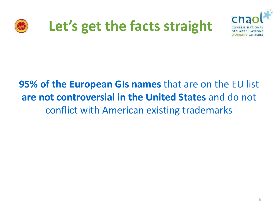

### **Let's get the facts straight**



### **95% of the European GIs names** that are on the EU list **are not controversial in the United States** and do not conflict with American existing trademarks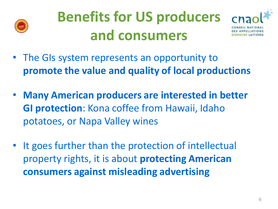

## **Benefits for US producers and consumers**



- The GIs system represents an opportunity to **promote the value and quality of local productions**
- **Many American producers are interested in better GI protection**: Kona coffee from Hawaii, Idaho potatoes, or Napa Valley wines
- It goes further than the protection of intellectual property rights, it is about **protecting American consumers against misleading advertising**